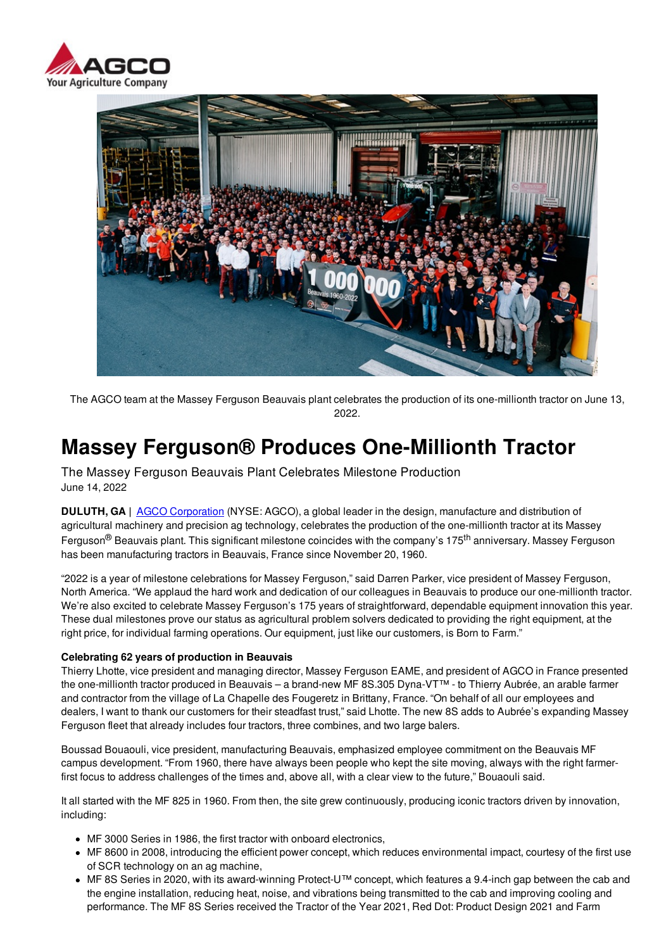



The AGCO team at the Massey Ferguson Beauvais plant celebrates the production of its one-millionth tractor on June 13, 2022.

# **Massey Ferguson® Produces One-Millionth Tractor**

The Massey Ferguson Beauvais Plant Celebrates Milestone Production June 14, 2022

**DULUTH, GA |** AGCO Corporation (NYSE: AGCO), a global leader in the design, manufacture and distribution of agricultural machinery and precision ag technology, celebrates the production of the one-millionth tractor at its Massey Ferguson<sup>®</sup> Beauvais plant. This significant milestone coincides with the company's 175<sup>th</sup> anniversary. Massey Ferguson has been manufacturing tractors in Beauvais, France since November 20, 1960.

"2022 is a year of milestone celebrations for Massey Ferguson," said Darren Parker, vice president of Massey Ferguson, North America. "We applaud the hard work and dedication of our colleagues in Beauvais to produce our one-millionth tractor. We're also excited to celebrate Massey Ferguson's 175 years of straightforward, dependable equipment innovation this year. These dual milestones prove our status as agricultural problem solvers dedicated to providing the right equipment, at the right price, for individual farming operations. Our equipment, just like our customers, is Born to Farm."

#### **Celebrating 62 years of production in Beauvais**

Thierry Lhotte, vice president and managing director, Massey Ferguson EAME, and president of AGCO in France presented the one-millionth tractor produced in Beauvais – a brand-new MF 8S.305 Dyna-VT™ - to Thierry Aubrée, an arable farmer and contractor from the village of La Chapelle des Fougeretz in Brittany, France. "On behalf of all our employees and dealers, I want to thank our customers for their steadfast trust," said Lhotte. The new 8S adds to Aubrée's expanding Massey Ferguson fleet that already includes four tractors, three combines, and two large balers.

Boussad Bouaouli, vice president, manufacturing Beauvais, emphasized employee commitment on the Beauvais MF campus development. "From 1960, there have always been people who kept the site moving, always with the right farmerfirst focus to address challenges of the times and, above all, with a clear view to the future," Bouaouli said.

It all started with the MF 825 in 1960. From then, the site grew continuously, producing iconic tractors driven by innovation, including:

- MF 3000 Series in 1986, the first tractor with onboard electronics,
- MF 8600 in 2008, introducing the efficient power concept, which reduces environmental impact, courtesy of the first use of SCR technology on an ag machine,
- MF 8S Series in 2020, with its award-winning Protect-U™ concept, which features a 9.4-inch gap between the cab and the engine installation, reducing heat, noise, and vibrations being transmitted to the cab and improving cooling and performance. The MF 8S Series received the Tractor of the Year 2021, Red Dot: Product Design 2021 and Farm